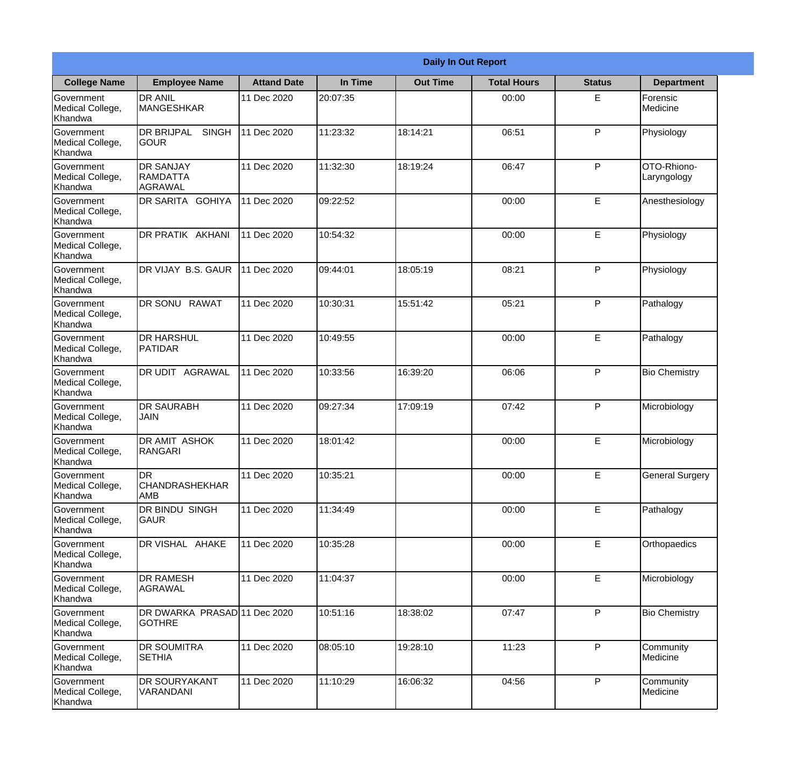|                                                  |                                                 |                    |          | <b>Daily In Out Report</b> |                    |               |                            |
|--------------------------------------------------|-------------------------------------------------|--------------------|----------|----------------------------|--------------------|---------------|----------------------------|
| <b>College Name</b>                              | <b>Employee Name</b>                            | <b>Attand Date</b> | In Time  | <b>Out Time</b>            | <b>Total Hours</b> | <b>Status</b> | <b>Department</b>          |
| Government<br>Medical College,<br>Khandwa        | <b>DR ANIL</b><br>MANGESHKAR                    | 11 Dec 2020        | 20:07:35 |                            | 00:00              | E.            | Forensic<br>Medicine       |
| Government<br>Medical College,<br>Khandwa        | <b>DR BRIJPAL</b><br><b>SINGH</b><br> GOUR      | 11 Dec 2020        | 11:23:32 | 18:14:21                   | 06:51              | P             | Physiology                 |
| <b>Government</b><br>Medical College,<br>Khandwa | <b>IDR SANJAY</b><br><b>RAMDATTA</b><br>AGRAWAL | 11 Dec 2020        | 11:32:30 | 18:19:24                   | 06:47              | P             | OTO-Rhiono-<br>Laryngology |
| Government<br>Medical College,<br>Khandwa        | <b>DR SARITA GOHIYA</b>                         | 11 Dec 2020        | 09:22:52 |                            | 00:00              | E             | Anesthesiology             |
| Government<br>Medical College,<br>Khandwa        | <b>DR PRATIK AKHANI</b>                         | 11 Dec 2020        | 10:54:32 |                            | 00:00              | E             | Physiology                 |
| Government<br>Medical College,<br>Khandwa        | DR VIJAY B.S. GAUR                              | 11 Dec 2020        | 09:44:01 | 18:05:19                   | 08:21              | P             | Physiology                 |
| Government<br>Medical College,<br>Khandwa        | DR SONU RAWAT                                   | 11 Dec 2020        | 10:30:31 | 15:51:42                   | 05:21              | P             | Pathalogy                  |
| Government<br>Medical College,<br>Khandwa        | <b>DR HARSHUL</b><br>PATIDAR                    | 11 Dec 2020        | 10:49:55 |                            | 00:00              | E             | Pathalogy                  |
| Government<br>Medical College,<br>Khandwa        | <b>DR UDIT AGRAWAL</b>                          | 11 Dec 2020        | 10:33:56 | 16:39:20                   | 06:06              | P             | <b>Bio Chemistry</b>       |
| Government<br>Medical College,<br>Khandwa        | <b>DR SAURABH</b><br><b>JAIN</b>                | 11 Dec 2020        | 09:27:34 | 17:09:19                   | 07:42              | P             | Microbiology               |
| Government<br>Medical College,<br>Khandwa        | <b>DR AMIT ASHOK</b><br><b>RANGARI</b>          | 11 Dec 2020        | 18:01:42 |                            | 00:00              | E             | Microbiology               |
| Government<br>Medical College,<br>Khandwa        | ldr<br>CHANDRASHEKHAR<br><b>AMB</b>             | 11 Dec 2020        | 10:35:21 |                            | 00:00              | E             | <b>General Surgery</b>     |
| Government<br>Medical College,<br>Khandwa        | DR BINDU SINGH<br><b>GAUR</b>                   | 11 Dec 2020        | 11:34:49 |                            | 00:00              | E             | Pathalogy                  |
| Government<br>Medical College,<br>Khandwa        | DR VISHAL AHAKE                                 | 11 Dec 2020        | 10:35:28 |                            | 00:00              | E             | Orthopaedics               |
| Government<br>Medical College,<br>Khandwa        | <b>DR RAMESH</b><br>AGRAWAL                     | 11 Dec 2020        | 11:04:37 |                            | 00:00              | E             | Microbiology               |
| Government<br>Medical College,<br>Khandwa        | DR DWARKA PRASAD 11 Dec 2020<br><b>GOTHRE</b>   |                    | 10:51:16 | 18:38:02                   | 07:47              | $\mathsf{P}$  | <b>Bio Chemistry</b>       |
| Government<br>Medical College,<br>Khandwa        | <b>DR SOUMITRA</b><br><b>SETHIA</b>             | 11 Dec 2020        | 08:05:10 | 19:28:10                   | 11:23              | P             | Community<br>Medicine      |
| Government<br>Medical College,<br>Khandwa        | <b>DR SOURYAKANT</b><br>VARANDANI               | 11 Dec 2020        | 11:10:29 | 16:06:32                   | 04:56              | P             | Community<br>Medicine      |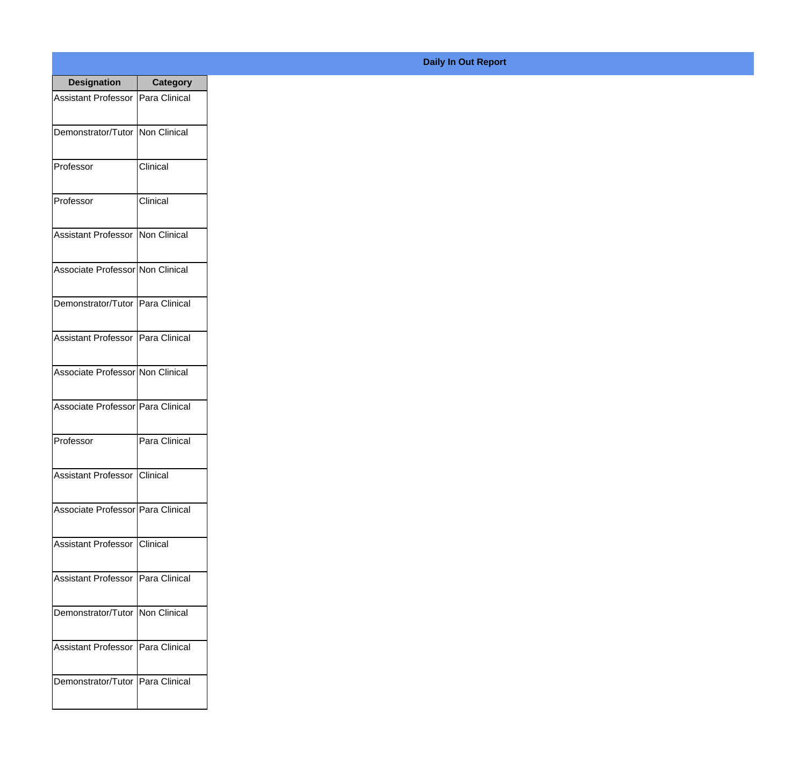| <b>Designation</b>                  | <b>Category</b> |
|-------------------------------------|-----------------|
| Assistant Professor   Para Clinical |                 |
| Demonstrator/Tutor   Non Clinical   |                 |
| Professor                           | Clinical        |
| Professor                           | Clinical        |
| Assistant Professor   Non Clinical  |                 |
| Associate Professor Non Clinical    |                 |
| Demonstrator/Tutor   Para Clinical  |                 |
| Assistant Professor   Para Clinical |                 |
| Associate Professor Non Clinical    |                 |
| Associate Professor   Para Clinical |                 |
| Professor                           | Para Clinical   |
| Assistant Professor   Clinical      |                 |
| Associate Professor   Para Clinical |                 |
| Assistant Professor   Clinical      |                 |
| Assistant Professor   Para Clinical |                 |
| Demonstrator/Tutor   Non Clinical   |                 |
| <b>Assistant Professor</b>          | Para Clinical   |
| Demonstrator/Tutor   Para Clinical  |                 |

## **Daily In Out Report**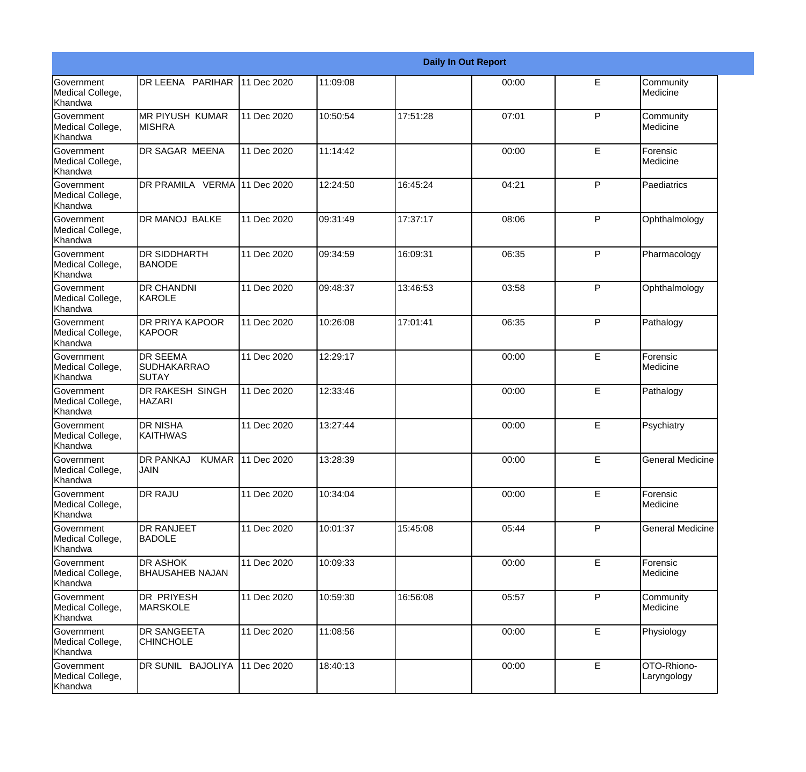|                                                  |                                                |                   |          |          | <b>Daily In Out Report</b> |              |                            |
|--------------------------------------------------|------------------------------------------------|-------------------|----------|----------|----------------------------|--------------|----------------------------|
| <b>Government</b><br>Medical College,<br>Khandwa | DR LEENA PARIHAR                               | 11 Dec 2020       | 11:09:08 |          | 00:00                      | E            | Community<br>Medicine      |
| <b>Government</b><br>Medical College,<br>Khandwa | <b>MR PIYUSH KUMAR</b><br><b>MISHRA</b>        | 11 Dec 2020       | 10:50:54 | 17:51:28 | 07:01                      | $\mathsf{P}$ | Community<br>Medicine      |
| <b>Government</b><br>Medical College,<br>Khandwa | DR SAGAR MEENA                                 | 11 Dec 2020       | 11:14:42 |          | 00:00                      | E            | Forensic<br>Medicine       |
| <b>Government</b><br>Medical College,<br>Khandwa | DR PRAMILA VERMA 11 Dec 2020                   |                   | 12:24:50 | 16:45:24 | 04:21                      | P            | Paediatrics                |
| Government<br>Medical College,<br>Khandwa        | DR MANOJ BALKE                                 | 11 Dec 2020       | 09:31:49 | 17:37:17 | 08:06                      | P            | Ophthalmology              |
| Government<br>Medical College,<br><b>Khandwa</b> | <b>DR SIDDHARTH</b><br>BANODE                  | 11 Dec 2020       | 09:34:59 | 16:09:31 | 06:35                      | $\mathsf{P}$ | Pharmacology               |
| Government<br>Medical College,<br>Khandwa        | <b>DR CHANDNI</b><br><b>I</b> KAROLE           | 11 Dec 2020       | 09:48:37 | 13:46:53 | 03:58                      | P            | Ophthalmology              |
| Government<br>Medical College,<br>Khandwa        | <b>DR PRIYA KAPOOR</b><br><b>KAPOOR</b>        | 11 Dec 2020       | 10:26:08 | 17:01:41 | 06:35                      | P            | Pathalogy                  |
| Government<br>Medical College,<br>Khandwa        | <b>DR SEEMA</b><br><b>SUDHAKARRAO</b><br>SUTAY | 11 Dec 2020       | 12:29:17 |          | 00:00                      | E            | Forensic<br>Medicine       |
| <b>Government</b><br>Medical College,<br>Khandwa | DR RAKESH SINGH<br><b>HAZARI</b>               | 11 Dec 2020       | 12:33:46 |          | 00:00                      | E            | Pathalogy                  |
| <b>Government</b><br>Medical College,<br>Khandwa | <b>DR NISHA</b><br><b>KAITHWAS</b>             | 11 Dec 2020       | 13:27:44 |          | 00:00                      | E            | Psychiatry                 |
| Government<br>Medical College,<br>Khandwa        | <b>DR PANKAJ</b><br><b>JAIN</b>                | KUMAR 11 Dec 2020 | 13:28:39 |          | 00:00                      | E            | <b>General Medicine</b>    |
| <b>Government</b><br>Medical College,<br>Khandwa | <b>DR RAJU</b>                                 | 11 Dec 2020       | 10:34:04 |          | 00:00                      | E            | Forensic<br>Medicine       |
| Government<br>Medical College,<br>Khandwa        | <b>DR RANJEET</b><br><b>BADOLE</b>             | 11 Dec 2020       | 10:01:37 | 15:45:08 | 05:44                      | $\mathsf{P}$ | <b>General Medicine</b>    |
| Government<br>Medical College,<br>Khandwa        | <b>DR ASHOK</b><br><b>BHAUSAHEB NAJAN</b>      | 11 Dec 2020       | 10:09:33 |          | 00:00                      | E            | Forensic<br>Medicine       |
| Government<br>Medical College,<br>Khandwa        | <b>DR PRIYESH</b><br><b>MARSKOLE</b>           | 11 Dec 2020       | 10:59:30 | 16:56:08 | 05:57                      | P            | Community<br>Medicine      |
| Government<br>Medical College,<br>Khandwa        | <b>DR SANGEETA</b><br><b>CHINCHOLE</b>         | 11 Dec 2020       | 11:08:56 |          | 00:00                      | E            | Physiology                 |
| Government<br>Medical College,<br>Khandwa        | DR SUNIL BAJOLIYA                              | 11 Dec 2020       | 18:40:13 |          | 00:00                      | E            | OTO-Rhiono-<br>Laryngology |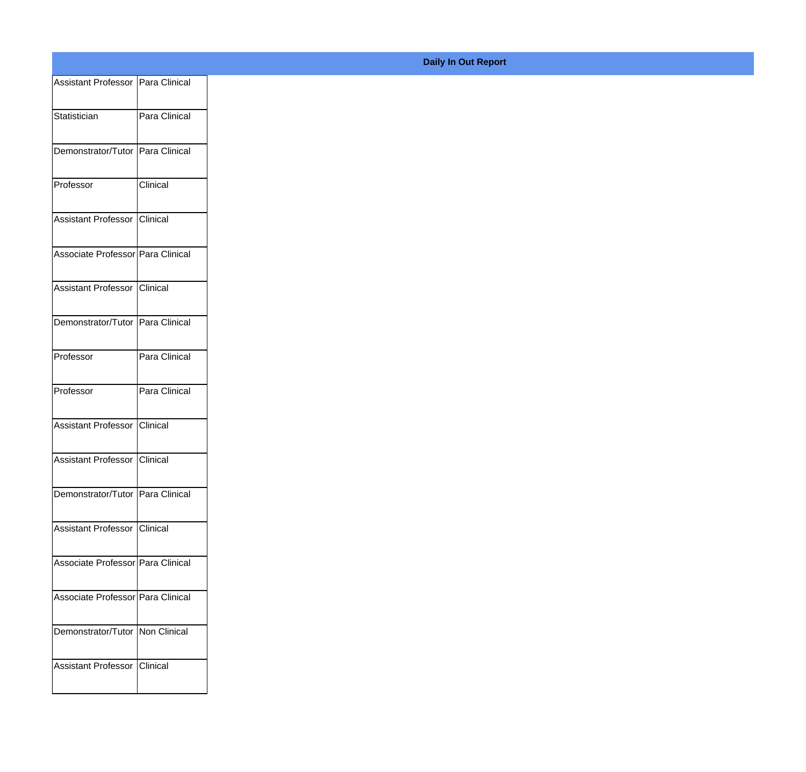| Assistant Professor   Para Clinical |               |
|-------------------------------------|---------------|
| Statistician                        | Para Clinical |
|                                     |               |
| Demonstrator/Tutor Para Clinical    |               |
| Professor                           | Clinical      |
|                                     |               |
| Assistant Professor Clinical        |               |
| Associate Professor Para Clinical   |               |
| Assistant Professor Clinical        |               |
|                                     |               |
| Demonstrator/Tutor Para Clinical    |               |
| Professor                           | Para Clinical |
|                                     |               |
| Professor                           | Para Clinical |
| Assistant Professor Clinical        |               |
| Assistant Professor Clinical        |               |
|                                     |               |
| Demonstrator/Tutor   Para Clinical  |               |
| Assistant Professor Clinical        |               |
| Associate Professor Para Clinical   |               |
|                                     |               |
| Associate Professor Para Clinical   |               |
| Demonstrator/Tutor   Non Clinical   |               |
|                                     |               |
| Assistant Professor Clinical        |               |
|                                     |               |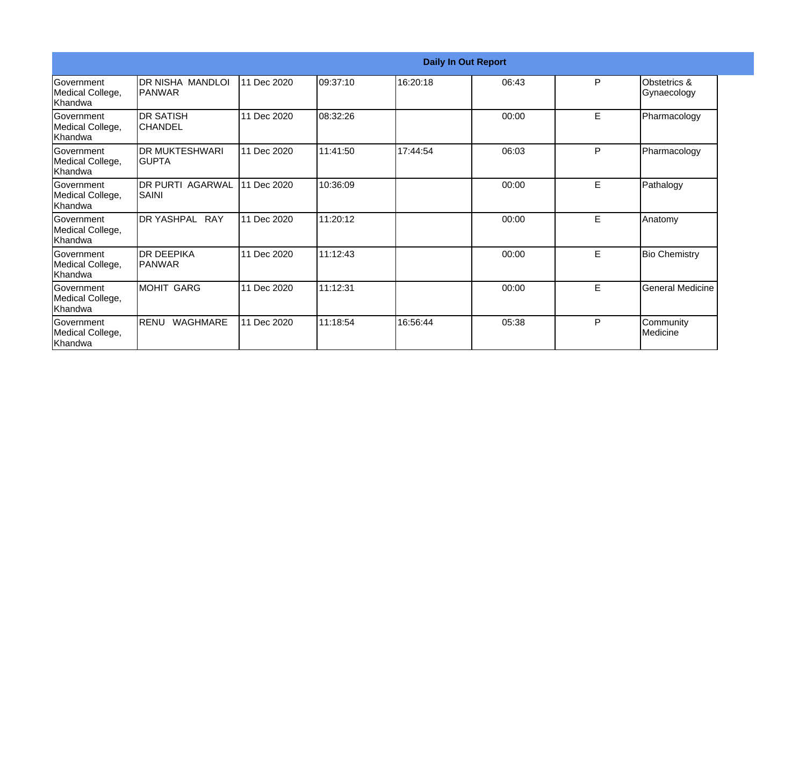|                                                  |                                     |             |          | <b>Daily In Out Report</b> |       |   |                             |
|--------------------------------------------------|-------------------------------------|-------------|----------|----------------------------|-------|---|-----------------------------|
| Government<br>Medical College,<br>lKhandwa       | DR NISHA MANDLOI<br>PANWAR          | 11 Dec 2020 | 09:37:10 | 16:20:18                   | 06:43 | P | Obstetrics &<br>Gynaecology |
| Government<br>Medical College,<br>Khandwa        | <b>DR SATISH</b><br>ICHANDEL        | 11 Dec 2020 | 08:32:26 |                            | 00:00 | E | Pharmacology                |
| Government<br>Medical College,<br>Khandwa        | <b>DR MUKTESHWARI</b><br>IGUPTA     | 11 Dec 2020 | 11:41:50 | 17:44:54                   | 06:03 | P | Pharmacology                |
| <b>Government</b><br>Medical College,<br>Khandwa | <b>DR PURTI AGARWAL</b><br>SAINI    | 11 Dec 2020 | 10:36:09 |                            | 00:00 | E | Pathalogy                   |
| Government<br>Medical College,<br>Khandwa        | DR YASHPAL RAY                      | 11 Dec 2020 | 11:20:12 |                            | 00:00 | E | Anatomy                     |
| Government<br>Medical College,<br>Khandwa        | <b>IDR DEEPIKA</b><br><b>PANWAR</b> | 11 Dec 2020 | 11:12:43 |                            | 00:00 | E | <b>Bio Chemistry</b>        |
| Government<br>Medical College,<br>Khandwa        | <b>MOHIT GARG</b>                   | 11 Dec 2020 | 11:12:31 |                            | 00:00 | E | <b>General Medicine</b>     |
| Government<br>Medical College,<br>Khandwa        | <b>RENU</b><br><b>WAGHMARE</b>      | 11 Dec 2020 | 11:18:54 | 16:56:44                   | 05:38 | P | Community<br>Medicine       |